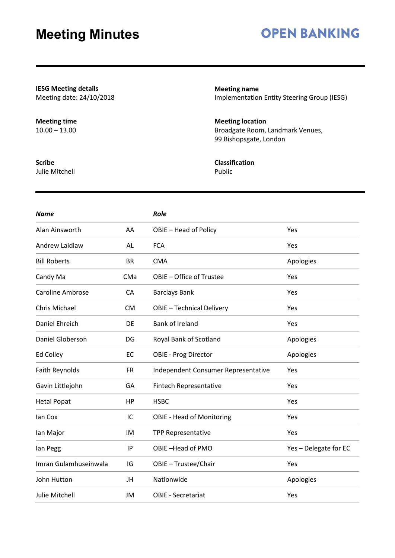# **OPEN BANKING**

**IESG Meeting details** Meeting date: 24/10/2018

**Meeting time** 10.00 – 13.00

**Meeting name** Implementation Entity Steering Group (IESG)

**Meeting location** Broadgate Room, Landmark Venues, 99 Bishopsgate, London

**Classification** Public

| <b>Name</b>             |           | Role                                |                       |
|-------------------------|-----------|-------------------------------------|-----------------------|
| Alan Ainsworth          | AA        | OBIE - Head of Policy               | Yes                   |
| <b>Andrew Laidlaw</b>   | AL        | <b>FCA</b>                          | Yes                   |
| <b>Bill Roberts</b>     | <b>BR</b> | <b>CMA</b>                          | Apologies             |
| Candy Ma                | CMa       | OBIE - Office of Trustee            | Yes                   |
| <b>Caroline Ambrose</b> | CA        | <b>Barclays Bank</b>                | Yes                   |
| Chris Michael           | <b>CM</b> | <b>OBIE - Technical Delivery</b>    | Yes                   |
| Daniel Ehreich          | DE        | Bank of Ireland                     | Yes                   |
| Daniel Globerson        | DG        | Royal Bank of Scotland              | Apologies             |
| Ed Colley               | EC        | <b>OBIE - Prog Director</b>         | Apologies             |
| Faith Reynolds          | <b>FR</b> | Independent Consumer Representative | Yes                   |
| Gavin Littlejohn        | GA        | Fintech Representative              | Yes                   |
| <b>Hetal Popat</b>      | HP        | <b>HSBC</b>                         | Yes                   |
| lan Cox                 | IC        | <b>OBIE - Head of Monitoring</b>    | Yes                   |
| lan Major               | IM        | <b>TPP Representative</b>           | Yes                   |
| lan Pegg                | IP        | OBIE-Head of PMO                    | Yes - Delegate for EC |
| Imran Gulamhuseinwala   | IG        | OBIE - Trustee/Chair                | Yes                   |
| John Hutton             | JH        | Nationwide                          | Apologies             |
| Julie Mitchell          | JM        | <b>OBIE - Secretariat</b>           | Yes                   |

**Scribe**

Julie Mitchell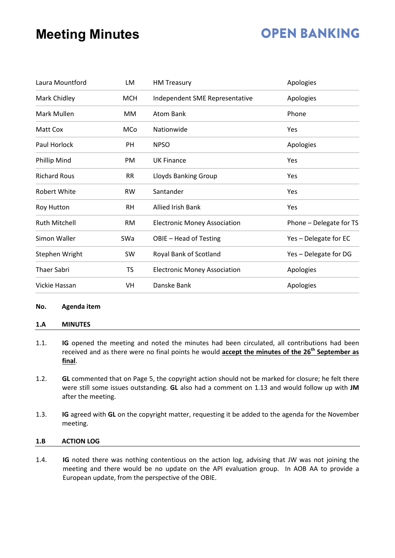### **OPEN BANKING**

| Laura Mountford      | LM         | <b>HM Treasury</b>                  | Apologies               |
|----------------------|------------|-------------------------------------|-------------------------|
| Mark Chidley         | <b>MCH</b> | Independent SME Representative      | Apologies               |
| Mark Mullen          | MM         | Atom Bank                           | Phone                   |
| Matt Cox             | MCo        | Nationwide                          | Yes                     |
| Paul Horlock         | PH         | <b>NPSO</b>                         | Apologies               |
| Phillip Mind         | PM         | <b>UK Finance</b>                   | Yes                     |
| <b>Richard Rous</b>  | <b>RR</b>  | Lloyds Banking Group                | Yes                     |
| Robert White         | <b>RW</b>  | Santander                           | Yes                     |
| Roy Hutton           | <b>RH</b>  | <b>Allied Irish Bank</b>            | Yes                     |
| <b>Ruth Mitchell</b> | RM.        | <b>Electronic Money Association</b> | Phone - Delegate for TS |
| Simon Waller         | SWa        | OBIE - Head of Testing              | Yes - Delegate for EC   |
| Stephen Wright       | SW         | Royal Bank of Scotland              | Yes - Delegate for DG   |
| <b>Thaer Sabri</b>   | <b>TS</b>  | <b>Electronic Money Association</b> | Apologies               |
| Vickie Hassan        | VH         | Danske Bank                         | Apologies               |

#### **No. Agenda item**

#### **1.A MINUTES**

- 1.1. **IG** opened the meeting and noted the minutes had been circulated, all contributions had been received and as there were no final points he would **accept the minutes of the 26th September as final**.
- 1.2. **GL** commented that on Page 5, the copyright action should not be marked for closure; he felt there were still some issues outstanding. **GL** also had a comment on 1.13 and would follow up with **JM** after the meeting.
- 1.3. **IG** agreed with **GL** on the copyright matter, requesting it be added to the agenda for the November meeting.

#### **1.B ACTION LOG**

1.4. **IG** noted there was nothing contentious on the action log, advising that JW was not joining the meeting and there would be no update on the API evaluation group. In AOB AA to provide a European update, from the perspective of the OBIE.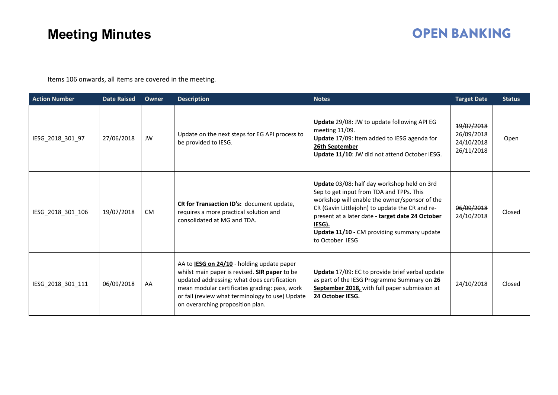# **OPEN BANKING**

Items 106 onwards, all items are covered in the meeting.

| <b>Action Number</b> | <b>Date Raised</b> | <b>Owner</b> | <b>Description</b>                                                                                                                                                                                                                                                                        | <b>Notes</b>                                                                                                                                                                                                                                                                                                              | <b>Target Date</b>                                   | <b>Status</b> |
|----------------------|--------------------|--------------|-------------------------------------------------------------------------------------------------------------------------------------------------------------------------------------------------------------------------------------------------------------------------------------------|---------------------------------------------------------------------------------------------------------------------------------------------------------------------------------------------------------------------------------------------------------------------------------------------------------------------------|------------------------------------------------------|---------------|
| IESG_2018_301_97     | 27/06/2018         | JW           | Update on the next steps for EG API process to<br>be provided to IESG.                                                                                                                                                                                                                    | Update 29/08: JW to update following API EG<br>meeting $11/09$ .<br>Update 17/09: Item added to IESG agenda for<br>26th September<br>Update 11/10: JW did not attend October IESG.                                                                                                                                        | 19/07/2018<br>26/09/2018<br>24/10/2018<br>26/11/2018 | Open          |
| IESG_2018_301_106    | 19/07/2018         | <b>CM</b>    | CR for Transaction ID's: document update,<br>requires a more practical solution and<br>consolidated at MG and TDA.                                                                                                                                                                        | Update 03/08: half day workshop held on 3rd<br>Sep to get input from TDA and TPPs. This<br>workshop will enable the owner/sponsor of the<br>CR (Gavin Littlejohn) to update the CR and re-<br>present at a later date - target date 24 October<br>IESG).<br>Update 11/10 - CM providing summary update<br>to October IESG | 06/09/2018<br>24/10/2018                             | Closed        |
| IESG_2018_301_111    | 06/09/2018         | AA           | AA to <b>IESG on 24/10</b> - holding update paper<br>whilst main paper is revised. SIR paper to be<br>updated addressing: what does certification<br>mean modular certificates grading: pass, work<br>or fail (review what terminology to use) Update<br>on overarching proposition plan. | Update 17/09: EC to provide brief verbal update<br>as part of the IESG Programme Summary on 26<br>September 2018, with full paper submission at<br>24 October IESG.                                                                                                                                                       | 24/10/2018                                           | Closed        |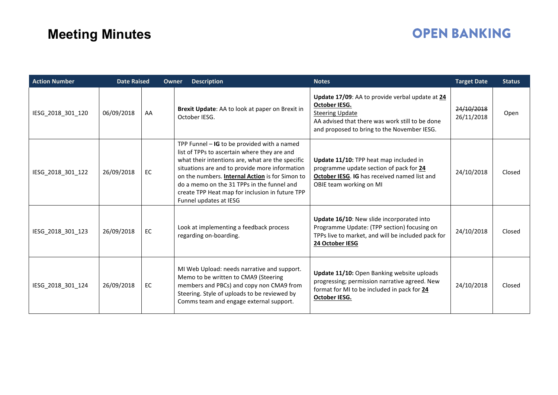# **OPEN BANKING**

| <b>Action Number</b> | <b>Date Raised</b> |    | <b>Description</b><br>Owner                                                                                                                                                                                                                                                                                                                                                       | <b>Notes</b>                                                                                                                                                                                 | <b>Target Date</b>       | <b>Status</b> |
|----------------------|--------------------|----|-----------------------------------------------------------------------------------------------------------------------------------------------------------------------------------------------------------------------------------------------------------------------------------------------------------------------------------------------------------------------------------|----------------------------------------------------------------------------------------------------------------------------------------------------------------------------------------------|--------------------------|---------------|
| IESG_2018_301_120    | 06/09/2018         | AA | Brexit Update: AA to look at paper on Brexit in<br>October IESG.                                                                                                                                                                                                                                                                                                                  | Update 17/09: AA to provide verbal update at 24<br>October IESG.<br><b>Steering Update</b><br>AA advised that there was work still to be done<br>and proposed to bring to the November IESG. | 24/10/2018<br>26/11/2018 | Open          |
| IESG 2018 301 122    | 26/09/2018         | EC | TPP Funnel $-$ IG to be provided with a named<br>list of TPPs to ascertain where they are and<br>what their intentions are, what are the specific<br>situations are and to provide more information<br>on the numbers. Internal Action is for Simon to<br>do a memo on the 31 TPPs in the funnel and<br>create TPP Heat map for inclusion in future TPP<br>Funnel updates at IESG | Update 11/10: TPP heat map included in<br>programme update section of pack for 24<br>October IESG. IG has received named list and<br>OBIE team working on MI                                 | 24/10/2018               | Closed        |
| IESG_2018_301_123    | 26/09/2018         | EC | Look at implementing a feedback process<br>regarding on-boarding.                                                                                                                                                                                                                                                                                                                 | Update 16/10: New slide incorporated into<br>Programme Update: (TPP section) focusing on<br>TPPs live to market, and will be included pack for<br>24 October IESG                            | 24/10/2018               | Closed        |
| IESG_2018_301_124    | 26/09/2018         | EC | MI Web Upload: needs narrative and support.<br>Memo to be written to CMA9 (Steering<br>members and PBCs) and copy non CMA9 from<br>Steering. Style of uploads to be reviewed by<br>Comms team and engage external support.                                                                                                                                                        | Update 11/10: Open Banking website uploads<br>progressing; permission narrative agreed. New<br>format for MI to be included in pack for 24<br>October IESG.                                  | 24/10/2018               | Closed        |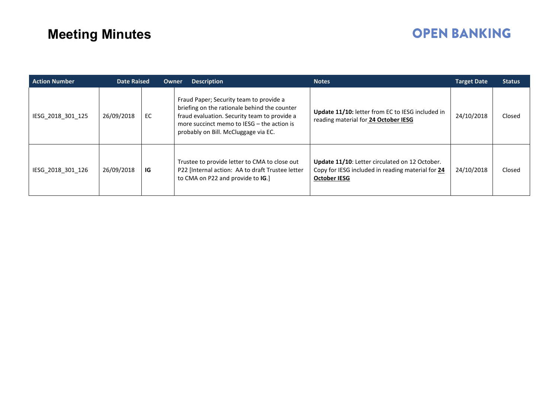# **OPEN BANKING**

| <b>Action Number</b> | <b>Date Raised</b> |     | <b>Owner</b><br><b>Description</b>                                                                                                                                                                                            | <b>Notes</b>                                                                                                               | <b>Target Date</b> | <b>Status</b> |
|----------------------|--------------------|-----|-------------------------------------------------------------------------------------------------------------------------------------------------------------------------------------------------------------------------------|----------------------------------------------------------------------------------------------------------------------------|--------------------|---------------|
| IESG 2018 301 125    | 26/09/2018         | EC. | Fraud Paper; Security team to provide a<br>briefing on the rationale behind the counter<br>fraud evaluation. Security team to provide a<br>more succinct memo to IESG - the action is<br>probably on Bill. McCluggage via EC. | Update 11/10: letter from EC to IESG included in<br>reading material for 24 October IESG                                   | 24/10/2018         | Closed        |
| IESG 2018 301 126    | 26/09/2018         | IG  | Trustee to provide letter to CMA to close out<br>P22 [Internal action: AA to draft Trustee letter<br>to CMA on P22 and provide to IG.                                                                                         | Update 11/10: Letter circulated on 12 October.<br>Copy for IESG included in reading material for 24<br><b>October IESG</b> | 24/10/2018         | Closed        |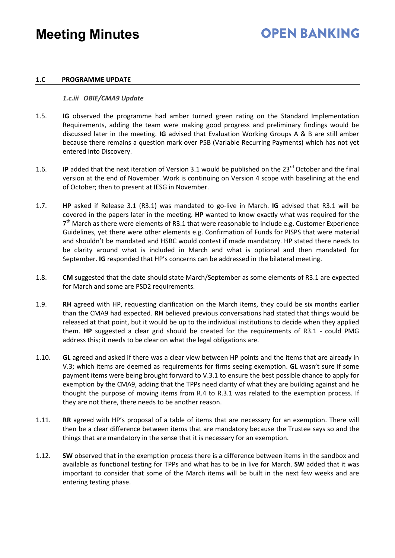### **OPEN BANKING**

#### **1.C PROGRAMME UPDATE**

#### *1.c.iii OBIE/CMA9 Update*

- 1.5. **IG** observed the programme had amber turned green rating on the Standard Implementation Requirements, adding the team were making good progress and preliminary findings would be discussed later in the meeting. **IG** advised that Evaluation Working Groups A & B are still amber because there remains a question mark over P5B (Variable Recurring Payments) which has not yet entered into Discovery.
- 1.6. **IP** added that the next iteration of Version 3.1 would be published on the 23<sup>rd</sup> October and the final version at the end of November. Work is continuing on Version 4 scope with baselining at the end of October; then to present at IESG in November.
- 1.7. **HP** asked if Release 3.1 (R3.1) was mandated to go-live in March. **IG** advised that R3.1 will be covered in the papers later in the meeting. **HP** wanted to know exactly what was required for the  $7<sup>th</sup>$  March as there were elements of R3.1 that were reasonable to include e.g. Customer Experience Guidelines, yet there were other elements e.g. Confirmation of Funds for PISPS that were material and shouldn't be mandated and HSBC would contest if made mandatory. HP stated there needs to be clarity around what is included in March and what is optional and then mandated for September. **IG** responded that HP's concerns can be addressed in the bilateral meeting.
- 1.8. **CM** suggested that the date should state March/September as some elements of R3.1 are expected for March and some are PSD2 requirements.
- 1.9. **RH** agreed with HP, requesting clarification on the March items, they could be six months earlier than the CMA9 had expected. **RH** believed previous conversations had stated that things would be released at that point, but it would be up to the individual institutions to decide when they applied them. **HP** suggested a clear grid should be created for the requirements of R3.1 - could PMG address this; it needs to be clear on what the legal obligations are.
- 1.10. **GL** agreed and asked if there was a clear view between HP points and the items that are already in V.3; which items are deemed as requirements for firms seeing exemption. **GL** wasn't sure if some payment items were being brought forward to V.3.1 to ensure the best possible chance to apply for exemption by the CMA9, adding that the TPPs need clarity of what they are building against and he thought the purpose of moving items from R.4 to R.3.1 was related to the exemption process. If they are not there, there needs to be another reason.
- 1.11. **RR** agreed with HP's proposal of a table of items that are necessary for an exemption. There will then be a clear difference between items that are mandatory because the Trustee says so and the things that are mandatory in the sense that it is necessary for an exemption.
- 1.12. **SW** observed that in the exemption process there is a difference between items in the sandbox and available as functional testing for TPPs and what has to be in live for March. **SW** added that it was important to consider that some of the March items will be built in the next few weeks and are entering testing phase.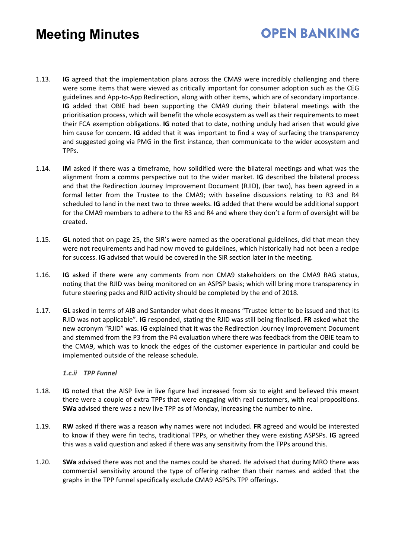# **OPEN BANKING**

- 1.13. **IG** agreed that the implementation plans across the CMA9 were incredibly challenging and there were some items that were viewed as critically important for consumer adoption such as the CEG guidelines and App-to-App Redirection, along with other items, which are of secondary importance. **IG** added that OBIE had been supporting the CMA9 during their bilateral meetings with the prioritisation process, which will benefit the whole ecosystem as well as their requirements to meet their FCA exemption obligations. **IG** noted that to date, nothing unduly had arisen that would give him cause for concern. **IG** added that it was important to find a way of surfacing the transparency and suggested going via PMG in the first instance, then communicate to the wider ecosystem and TPPs.
- 1.14. **IM** asked if there was a timeframe, how solidified were the bilateral meetings and what was the alignment from a comms perspective out to the wider market. **IG** described the bilateral process and that the Redirection Journey Improvement Document (RJID), (bar two), has been agreed in a formal letter from the Trustee to the CMA9; with baseline discussions relating to R3 and R4 scheduled to land in the next two to three weeks. **IG** added that there would be additional support for the CMA9 members to adhere to the R3 and R4 and where they don't a form of oversight will be created.
- 1.15. **GL** noted that on page 25, the SIR's were named as the operational guidelines, did that mean they were not requirements and had now moved to guidelines, which historically had not been a recipe for success. **IG** advised that would be covered in the SIR section later in the meeting.
- 1.16. **IG** asked if there were any comments from non CMA9 stakeholders on the CMA9 RAG status, noting that the RJID was being monitored on an ASPSP basis; which will bring more transparency in future steering packs and RJID activity should be completed by the end of 2018.
- 1.17. **GL** asked in terms of AIB and Santander what does it means "Trustee letter to be issued and that its RJID was not applicable". **IG** responded, stating the RJID was still being finalised. **FR** asked what the new acronym "RJID" was. **IG** explained that it was the Redirection Journey Improvement Document and stemmed from the P3 from the P4 evaluation where there was feedback from the OBIE team to the CMA9, which was to knock the edges of the customer experience in particular and could be implemented outside of the release schedule.

#### *1.c.ii TPP Funnel*

- 1.18. **IG** noted that the AISP live in live figure had increased from six to eight and believed this meant there were a couple of extra TPPs that were engaging with real customers, with real propositions. **SWa** advised there was a new live TPP as of Monday, increasing the number to nine.
- 1.19. **RW** asked if there was a reason why names were not included. **FR** agreed and would be interested to know if they were fin techs, traditional TPPs, or whether they were existing ASPSPs. **IG** agreed this was a valid question and asked if there was any sensitivity from the TPPs around this.
- 1.20. **SWa** advised there was not and the names could be shared. He advised that during MRO there was commercial sensitivity around the type of offering rather than their names and added that the graphs in the TPP funnel specifically exclude CMA9 ASPSPs TPP offerings.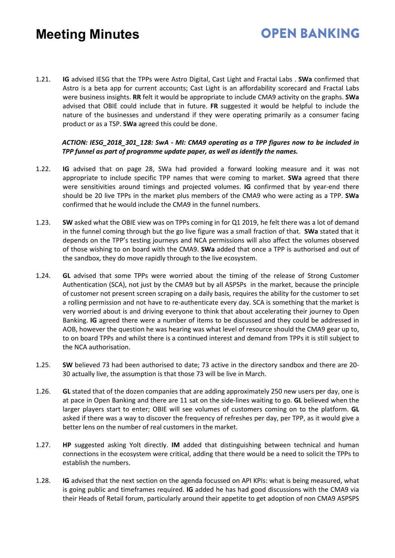- **OPEN BANKING**
- 1.21. **IG** advised IESG that the TPPs were Astro Digital, Cast Light and Fractal Labs . **SWa** confirmed that Astro is a beta app for current accounts; Cast Light is an affordability scorecard and Fractal Labs were business insights. **RR** felt it would be appropriate to include CMA9 activity on the graphs. **SWa** advised that OBIE could include that in future. **FR** suggested it would be helpful to include the nature of the businesses and understand if they were operating primarily as a consumer facing product or as a TSP. **SWa** agreed this could be done.

#### *ACTION: IESG\_2018\_301\_128: SwA - MI: CMA9 operating as a TPP figures now to be included in TPP funnel as part of programme update paper, as well as identify the names.*

- 1.22. **IG** advised that on page 28, SWa had provided a forward looking measure and it was not appropriate to include specific TPP names that were coming to market. **SWa** agreed that there were sensitivities around timings and projected volumes. **IG** confirmed that by year-end there should be 20 live TPPs in the market plus members of the CMA9 who were acting as a TPP. **SWa** confirmed that he would include the CMA9 in the funnel numbers.
- 1.23. **SW** asked what the OBIE view was on TPPs coming in for Q1 2019, he felt there was a lot of demand in the funnel coming through but the go live figure was a small fraction of that. **SWa** stated that it depends on the TPP's testing journeys and NCA permissions will also affect the volumes observed of those wishing to on board with the CMA9. **SWa** added that once a TPP is authorised and out of the sandbox, they do move rapidly through to the live ecosystem.
- 1.24. **GL** advised that some TPPs were worried about the timing of the release of Strong Customer Authentication (SCA), not just by the CMA9 but by all ASPSPs in the market, because the principle of customer not present screen scraping on a daily basis, requires the ability for the customer to set a rolling permission and not have to re-authenticate every day. SCA is something that the market is very worried about is and driving everyone to think that about accelerating their journey to Open Banking. **IG** agreed there were a number of items to be discussed and they could be addressed in AOB, however the question he was hearing was what level of resource should the CMA9 gear up to, to on board TPPs and whilst there is a continued interest and demand from TPPs it is still subject to the NCA authorisation.
- 1.25. **SW** believed 73 had been authorised to date; 73 active in the directory sandbox and there are 20- 30 actually live, the assumption is that those 73 will be live in March.
- 1.26. **GL** stated that of the dozen companies that are adding approximately 250 new users per day, one is at pace in Open Banking and there are 11 sat on the side-lines waiting to go. **GL** believed when the larger players start to enter; OBIE will see volumes of customers coming on to the platform. **GL** asked if there was a way to discover the frequency of refreshes per day, per TPP, as it would give a better lens on the number of real customers in the market.
- 1.27. **HP** suggested asking Yolt directly. **IM** added that distinguishing between technical and human connections in the ecosystem were critical, adding that there would be a need to solicit the TPPs to establish the numbers.
- 1.28. **IG** advised that the next section on the agenda focussed on API KPIs: what is being measured, what is going public and timeframes required. **IG** added he has had good discussions with the CMA9 via their Heads of Retail forum, particularly around their appetite to get adoption of non CMA9 ASPSPS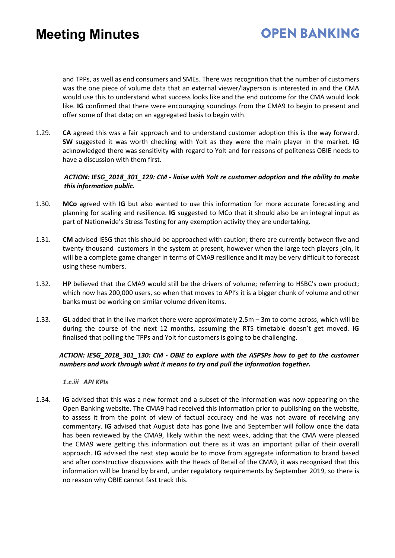### **OPEN BANKING**

and TPPs, as well as end consumers and SMEs. There was recognition that the number of customers was the one piece of volume data that an external viewer/layperson is interested in and the CMA would use this to understand what success looks like and the end outcome for the CMA would look like. **IG** confirmed that there were encouraging soundings from the CMA9 to begin to present and offer some of that data; on an aggregated basis to begin with.

1.29. **CA** agreed this was a fair approach and to understand customer adoption this is the way forward. **SW** suggested it was worth checking with Yolt as they were the main player in the market. **IG** acknowledged there was sensitivity with regard to Yolt and for reasons of politeness OBIE needs to have a discussion with them first.

#### *ACTION: IESG\_2018\_301\_129: CM - liaise with Yolt re customer adoption and the ability to make this information public.*

- 1.30. **MCo** agreed with **IG** but also wanted to use this information for more accurate forecasting and planning for scaling and resilience. **IG** suggested to MCo that it should also be an integral input as part of Nationwide's Stress Testing for any exemption activity they are undertaking.
- 1.31. **CM** advised IESG that this should be approached with caution; there are currently between five and twenty thousand customers in the system at present, however when the large tech players join, it will be a complete game changer in terms of CMA9 resilience and it may be very difficult to forecast using these numbers.
- 1.32. **HP** believed that the CMA9 would still be the drivers of volume; referring to HSBC's own product; which now has 200,000 users, so when that moves to API's it is a bigger chunk of volume and other banks must be working on similar volume driven items.
- 1.33. **GL** added that in the live market there were approximately 2.5m 3m to come across, which will be during the course of the next 12 months, assuming the RTS timetable doesn't get moved. **IG** finalised that polling the TPPs and Yolt for customers is going to be challenging.

#### *ACTION: IESG\_2018\_301\_130: CM - OBIE to explore with the ASPSPs how to get to the customer numbers and work through what it means to try and pull the information together.*

#### *1.c.iii API KPIs*

1.34. **IG** advised that this was a new format and a subset of the information was now appearing on the Open Banking website. The CMA9 had received this information prior to publishing on the website, to assess it from the point of view of factual accuracy and he was not aware of receiving any commentary. **IG** advised that August data has gone live and September will follow once the data has been reviewed by the CMA9, likely within the next week, adding that the CMA were pleased the CMA9 were getting this information out there as it was an important pillar of their overall approach. **IG** advised the next step would be to move from aggregate information to brand based and after constructive discussions with the Heads of Retail of the CMA9, it was recognised that this information will be brand by brand, under regulatory requirements by September 2019, so there is no reason why OBIE cannot fast track this.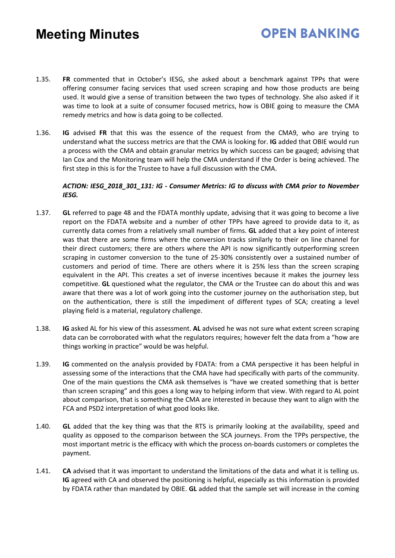### **OPEN BANKING**

- 1.35. **FR** commented that in October's IESG, she asked about a benchmark against TPPs that were offering consumer facing services that used screen scraping and how those products are being used. It would give a sense of transition between the two types of technology. She also asked if it was time to look at a suite of consumer focused metrics, how is OBIE going to measure the CMA remedy metrics and how is data going to be collected.
- 1.36. **IG** advised **FR** that this was the essence of the request from the CMA9, who are trying to understand what the success metrics are that the CMA is looking for. **IG** added that OBIE would run a process with the CMA and obtain granular metrics by which success can be gauged; advising that Ian Cox and the Monitoring team will help the CMA understand if the Order is being achieved. The first step in this is for the Trustee to have a full discussion with the CMA.

#### *ACTION: IESG\_2018\_301\_131: IG - Consumer Metrics: IG to discuss with CMA prior to November IESG.*

- 1.37. **GL** referred to page 48 and the FDATA monthly update, advising that it was going to become a live report on the FDATA website and a number of other TPPs have agreed to provide data to it, as currently data comes from a relatively small number of firms. **GL** added that a key point of interest was that there are some firms where the conversion tracks similarly to their on line channel for their direct customers; there are others where the API is now significantly outperforming screen scraping in customer conversion to the tune of 25-30% consistently over a sustained number of customers and period of time. There are others where it is 25% less than the screen scraping equivalent in the API. This creates a set of inverse incentives because it makes the journey less competitive. **GL** questioned what the regulator, the CMA or the Trustee can do about this and was aware that there was a lot of work going into the customer journey on the authorisation step, but on the authentication, there is still the impediment of different types of SCA; creating a level playing field is a material, regulatory challenge.
- 1.38. **IG** asked AL for his view of this assessment. **AL** advised he was not sure what extent screen scraping data can be corroborated with what the regulators requires; however felt the data from a "how are things working in practice" would be was helpful.
- 1.39. **IG** commented on the analysis provided by FDATA: from a CMA perspective it has been helpful in assessing some of the interactions that the CMA have had specifically with parts of the community. One of the main questions the CMA ask themselves is "have we created something that is better than screen scraping" and this goes a long way to helping inform that view. With regard to AL point about comparison, that is something the CMA are interested in because they want to align with the FCA and PSD2 interpretation of what good looks like.
- 1.40. **GL** added that the key thing was that the RTS is primarily looking at the availability, speed and quality as opposed to the comparison between the SCA journeys. From the TPPs perspective, the most important metric is the efficacy with which the process on-boards customers or completes the payment.
- 1.41. **CA** advised that it was important to understand the limitations of the data and what it is telling us. **IG** agreed with CA and observed the positioning is helpful, especially as this information is provided by FDATA rather than mandated by OBIE. **GL** added that the sample set will increase in the coming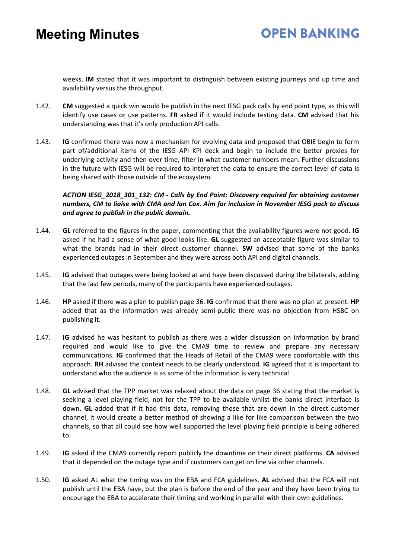weeks. **IM** stated that it was important to distinguish between existing journeys and up time and availability versus the throughput.

- 1.42. **CM** suggested a quick win would be publish in the next IESG pack calls by end point type, as this will identify use cases or use patterns. **FR** asked if it would include testing data. **CM** advised that his understanding was that it's only production API calls.
- 1.43. **IG** confirmed there was now a mechanism for evolving data and proposed that OBIE begin to form part of/additional items of the IESG API KPI deck and begin to include the better proxies for underlying activity and then over time, filter in what customer numbers mean. Further discussions in the future with IESG will be required to interpret the data to ensure the correct level of data is being shared with those outside of the ecosystem.

#### *ACTION IESG\_2018\_301\_132: CM - Calls by End Point: Discovery required for obtaining customer numbers, CM to liaise with CMA and Ian Cox. Aim for inclusion in November IESG pack to discuss and agree to publish in the public domain.*

- 1.44. **GL** referred to the figures in the paper, commenting that the availability figures were not good. **IG** asked if he had a sense of what good looks like. **GL** suggested an acceptable figure was similar to what the brands had in their direct customer channel. **SW** advised that some of the banks experienced outages in September and they were across both API and digital channels.
- 1.45. **IG** advised that outages were being looked at and have been discussed during the bilaterals, adding that the last few periods, many of the participants have experienced outages.
- 1.46. **HP** asked if there was a plan to publish page 36. **IG** confirmed that there was no plan at present. **HP** added that as the information was already semi-public there was no objection from HSBC on publishing it.
- 1.47. **IG** advised he was hesitant to publish as there was a wider discussion on information by brand required and would like to give the CMA9 time to review and prepare any necessary communications. **IG** confirmed that the Heads of Retail of the CMA9 were comfortable with this approach. **RH** advised the context needs to be clearly understood. **IG** agreed that it is important to understand who the audience is as some of the information is very technical
- 1.48. **GL** advised that the TPP market was relaxed about the data on page 36 stating that the market is seeking a level playing field, not for the TPP to be available whilst the banks direct interface is down. **GL** added that if it had this data, removing those that are down in the direct customer channel, it would create a better method of showing a like for like comparison between the two channels, so that all could see how well supported the level playing field principle is being adhered to.
- 1.49. **IG** asked if the CMA9 currently report publicly the downtime on their direct platforms. **CA** advised that it depended on the outage type and if customers can get on line via other channels.
- 1.50. **IG** asked AL what the timing was on the EBA and FCA guidelines. **AL** advised that the FCA will not publish until the EBA have, but the plan is before the end of the year and they have been trying to encourage the EBA to accelerate their timing and working in parallel with their own guidelines.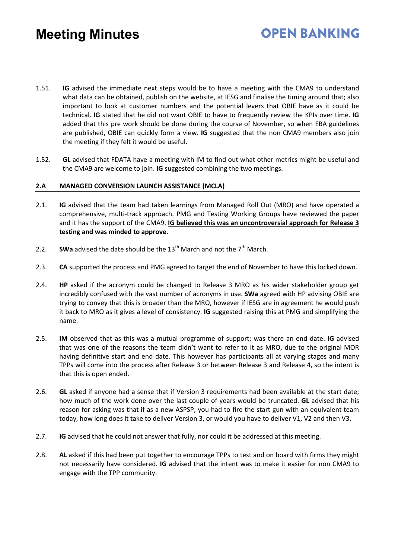- 1.51. **IG** advised the immediate next steps would be to have a meeting with the CMA9 to understand what data can be obtained, publish on the website, at IESG and finalise the timing around that; also important to look at customer numbers and the potential levers that OBIE have as it could be technical. **IG** stated that he did not want OBIE to have to frequently review the KPIs over time. **IG** added that this pre work should be done during the course of November, so when EBA guidelines are published, OBIE can quickly form a view. **IG** suggested that the non CMA9 members also join the meeting if they felt it would be useful.
- 1.52. **GL** advised that FDATA have a meeting with IM to find out what other metrics might be useful and the CMA9 are welcome to join. **IG** suggested combining the two meetings.

#### **2.A MANAGED CONVERSION LAUNCH ASSISTANCE (MCLA)**

- 2.1. **IG** advised that the team had taken learnings from Managed Roll Out (MRO) and have operated a comprehensive, multi-track approach. PMG and Testing Working Groups have reviewed the paper and it has the support of the CMA9. **IG believed this was an uncontroversial approach for Release 3 testing and was minded to approve**.
- 2.2. **SWa** advised the date should be the  $13<sup>th</sup>$  March and not the  $7<sup>th</sup>$  March.
- 2.3. **CA** supported the process and PMG agreed to target the end of November to have this locked down.
- 2.4. **HP** asked if the acronym could be changed to Release 3 MRO as his wider stakeholder group get incredibly confused with the vast number of acronyms in use. **SWa** agreed with HP advising OBIE are trying to convey that this is broader than the MRO, however if IESG are in agreement he would push it back to MRO as it gives a level of consistency. **IG** suggested raising this at PMG and simplifying the name.
- 2.5. **IM** observed that as this was a mutual programme of support; was there an end date. **IG** advised that was one of the reasons the team didn't want to refer to it as MRO, due to the original MOR having definitive start and end date. This however has participants all at varying stages and many TPPs will come into the process after Release 3 or between Release 3 and Release 4, so the intent is that this is open ended.
- 2.6. **GL** asked if anyone had a sense that if Version 3 requirements had been available at the start date; how much of the work done over the last couple of years would be truncated. **GL** advised that his reason for asking was that if as a new ASPSP, you had to fire the start gun with an equivalent team today, how long does it take to deliver Version 3, or would you have to deliver V1, V2 and then V3.
- 2.7. **IG** advised that he could not answer that fully, nor could it be addressed at this meeting.
- 2.8. **AL** asked if this had been put together to encourage TPPs to test and on board with firms they might not necessarily have considered. **IG** advised that the intent was to make it easier for non CMA9 to engage with the TPP community.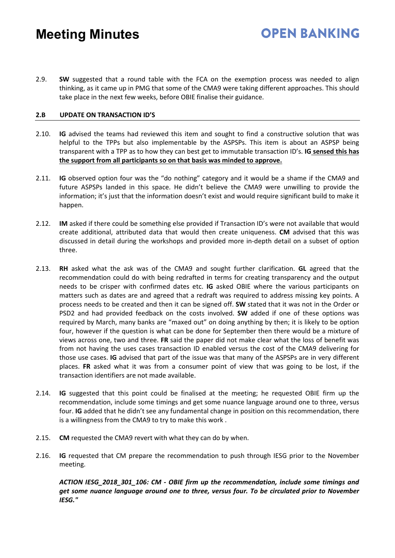2.9. **SW** suggested that a round table with the FCA on the exemption process was needed to align thinking, as it came up in PMG that some of the CMA9 were taking different approaches. This should take place in the next few weeks, before OBIE finalise their guidance.

**OPEN BANKING** 

#### **2.B UPDATE ON TRANSACTION ID'S**

- 2.10. **IG** advised the teams had reviewed this item and sought to find a constructive solution that was helpful to the TPPs but also implementable by the ASPSPs. This item is about an ASPSP being transparent with a TPP as to how they can best get to immutable transaction ID's. **IG sensed this has the support from all participants so on that basis was minded to approve.**
- 2.11. **IG** observed option four was the "do nothing" category and it would be a shame if the CMA9 and future ASPSPs landed in this space. He didn't believe the CMA9 were unwilling to provide the information; it's just that the information doesn't exist and would require significant build to make it happen.
- 2.12. **IM** asked if there could be something else provided if Transaction ID's were not available that would create additional, attributed data that would then create uniqueness. **CM** advised that this was discussed in detail during the workshops and provided more in-depth detail on a subset of option three.
- 2.13. **RH** asked what the ask was of the CMA9 and sought further clarification. **GL** agreed that the recommendation could do with being redrafted in terms for creating transparency and the output needs to be crisper with confirmed dates etc. **IG** asked OBIE where the various participants on matters such as dates are and agreed that a redraft was required to address missing key points. A process needs to be created and then it can be signed off. **SW** stated that it was not in the Order or PSD2 and had provided feedback on the costs involved. **SW** added if one of these options was required by March, many banks are "maxed out" on doing anything by then; it is likely to be option four, however if the question is what can be done for September then there would be a mixture of views across one, two and three. **FR** said the paper did not make clear what the loss of benefit was from not having the uses cases transaction ID enabled versus the cost of the CMA9 delivering for those use cases. **IG** advised that part of the issue was that many of the ASPSPs are in very different places. **FR** asked what it was from a consumer point of view that was going to be lost, if the transaction identifiers are not made available.
- 2.14. **IG** suggested that this point could be finalised at the meeting; he requested OBIE firm up the recommendation, include some timings and get some nuance language around one to three, versus four. **IG** added that he didn't see any fundamental change in position on this recommendation, there is a willingness from the CMA9 to try to make this work .
- 2.15. **CM** requested the CMA9 revert with what they can do by when.
- 2.16. **IG** requested that CM prepare the recommendation to push through IESG prior to the November meeting.

*ACTION IESG\_2018\_301\_106: CM - OBIE firm up the recommendation, include some timings and get some nuance language around one to three, versus four. To be circulated prior to November IESG."*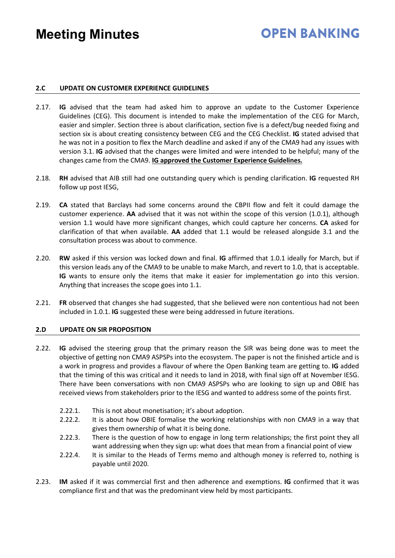### **OPEN RANKING**

#### **2.C UPDATE ON CUSTOMER EXPERIENCE GUIDELINES**

- 2.17. **IG** advised that the team had asked him to approve an update to the Customer Experience Guidelines (CEG). This document is intended to make the implementation of the CEG for March, easier and simpler. Section three is about clarification, section five is a defect/bug needed fixing and section six is about creating consistency between CEG and the CEG Checklist. **IG** stated advised that he was not in a position to flex the March deadline and asked if any of the CMA9 had any issues with version 3.1. **IG** advised that the changes were limited and were intended to be helpful; many of the changes came from the CMA9. **IG approved the Customer Experience Guidelines.**
- 2.18. **RH** advised that AIB still had one outstanding query which is pending clarification. **IG** requested RH follow up post IESG,
- 2.19. **CA** stated that Barclays had some concerns around the CBPII flow and felt it could damage the customer experience. **AA** advised that it was not within the scope of this version (1.0.1), although version 1.1 would have more significant changes, which could capture her concerns. **CA** asked for clarification of that when available. **AA** added that 1.1 would be released alongside 3.1 and the consultation process was about to commence.
- 2.20. **RW** asked if this version was locked down and final. **IG** affirmed that 1.0.1 ideally for March, but if this version leads any of the CMA9 to be unable to make March, and revert to 1.0, that is acceptable. **IG** wants to ensure only the items that make it easier for implementation go into this version. Anything that increases the scope goes into 1.1.
- 2.21. **FR** observed that changes she had suggested, that she believed were non contentious had not been included in 1.0.1. **IG** suggested these were being addressed in future iterations.

#### **2.D UPDATE ON SIR PROPOSITION**

- 2.22. **IG** advised the steering group that the primary reason the SIR was being done was to meet the objective of getting non CMA9 ASPSPs into the ecosystem. The paper is not the finished article and is a work in progress and provides a flavour of where the Open Banking team are getting to. **IG** added that the timing of this was critical and it needs to land in 2018, with final sign off at November IESG. There have been conversations with non CMA9 ASPSPs who are looking to sign up and OBIE has received views from stakeholders prior to the IESG and wanted to address some of the points first.
	- 2.22.1. This is not about monetisation; it's about adoption.
	- 2.22.2. It is about how OBIE formalise the working relationships with non CMA9 in a way that gives them ownership of what it is being done.
	- 2.22.3. There is the question of how to engage in long term relationships; the first point they all want addressing when they sign up: what does that mean from a financial point of view
	- 2.22.4. It is similar to the Heads of Terms memo and although money is referred to, nothing is payable until 2020.
- 2.23. **IM** asked if it was commercial first and then adherence and exemptions. **IG** confirmed that it was compliance first and that was the predominant view held by most participants.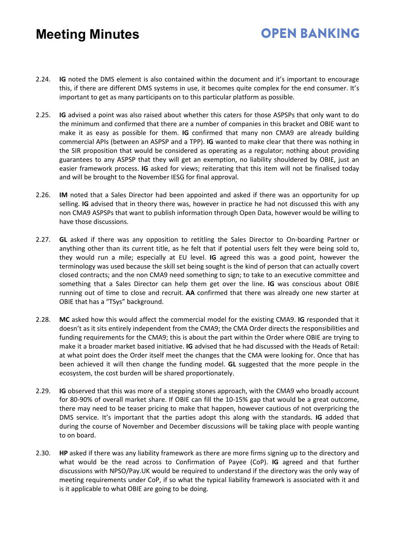## **OPEN RANKING**

- 2.24. **IG** noted the DMS element is also contained within the document and it's important to encourage this, if there are different DMS systems in use, it becomes quite complex for the end consumer. It's important to get as many participants on to this particular platform as possible.
- 2.25. **IG** advised a point was also raised about whether this caters for those ASPSPs that only want to do the minimum and confirmed that there are a number of companies in this bracket and OBIE want to make it as easy as possible for them. **IG** confirmed that many non CMA9 are already building commercial APIs (between an ASPSP and a TPP). **IG** wanted to make clear that there was nothing in the SIR proposition that would be considered as operating as a regulator; nothing about providing guarantees to any ASPSP that they will get an exemption, no liability shouldered by OBIE, just an easier framework process. **IG** asked for views; reiterating that this item will not be finalised today and will be brought to the November IESG for final approval.
- 2.26. **IM** noted that a Sales Director had been appointed and asked if there was an opportunity for up selling. **IG** advised that in theory there was, however in practice he had not discussed this with any non CMA9 ASPSPs that want to publish information through Open Data, however would be willing to have those discussions.
- 2.27. **GL** asked if there was any opposition to retitling the Sales Director to On-boarding Partner or anything other than its current title, as he felt that if potential users felt they were being sold to, they would run a mile; especially at EU level. **IG** agreed this was a good point, however the terminology was used because the skill set being sought is the kind of person that can actually covert closed contracts; and the non CMA9 need something to sign; to take to an executive committee and something that a Sales Director can help them get over the line. **IG** was conscious about OBIE running out of time to close and recruit. **AA** confirmed that there was already one new starter at OBIE that has a "TSys" background.
- 2.28. **MC** asked how this would affect the commercial model for the existing CMA9. **IG** responded that it doesn't as it sits entirely independent from the CMA9; the CMA Order directs the responsibilities and funding requirements for the CMA9; this is about the part within the Order where OBIE are trying to make it a broader market based initiative. **IG** advised that he had discussed with the Heads of Retail: at what point does the Order itself meet the changes that the CMA were looking for. Once that has been achieved it will then change the funding model. **GL** suggested that the more people in the ecosystem, the cost burden will be shared proportionately.
- 2.29. **IG** observed that this was more of a stepping stones approach, with the CMA9 who broadly account for 80-90% of overall market share. If OBIE can fill the 10-15% gap that would be a great outcome, there may need to be teaser pricing to make that happen, however cautious of not overpricing the DMS service. It's important that the parties adopt this along with the standards. **IG** added that during the course of November and December discussions will be taking place with people wanting to on board.
- 2.30. **HP** asked if there was any liability framework as there are more firms signing up to the directory and what would be the read across to Confirmation of Payee (CoP). **IG** agreed and that further discussions with NPSO/Pay.UK would be required to understand if the directory was the only way of meeting requirements under CoP, if so what the typical liability framework is associated with it and is it applicable to what OBIE are going to be doing.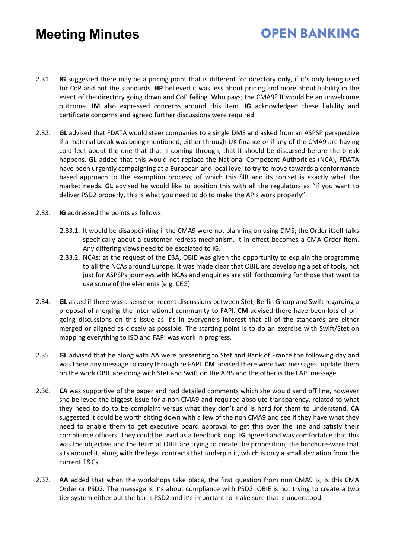2.31. **IG** suggested there may be a pricing point that is different for directory only, if it's only being used for CoP and not the standards. **HP** believed it was less about pricing and more about liability in the event of the directory going down and CoP failing. Who pays; the CMA9? It would be an unwelcome outcome. **IM** also expressed concerns around this item. **IG** acknowledged these liability and certificate concerns and agreed further discussions were required.

**OPEN BANKING** 

- 2.32. **GL** advised that FDATA would steer companies to a single DMS and asked from an ASPSP perspective if a material break was being mentioned, either through UK finance or if any of the CMA9 are having cold feet about the one that that is coming through, that it should be discussed before the break happens. **GL** added that this would not replace the National Competent Authorities (NCA), FDATA have been urgently campaigning at a European and local level to try to move towards a conformance based approach to the exemption process; of which this SIR and its toolset is exactly what the market needs. **GL** advised he would like to position this with all the regulators as "if you want to deliver PSD2 properly, this is what you need to do to make the APIs work properly".
- 2.33. **IG** addressed the points as follows:
	- 2.33.1. It would be disappointing if the CMA9 were not planning on using DMS; the Order itself talks specifically about a customer redress mechanism. It in effect becomes a CMA Order item. Any differing views need to be escalated to IG.
	- 2.33.2. NCAs: at the request of the EBA, OBIE was given the opportunity to explain the programme to all the NCAs around Europe. It was made clear that OBIE are developing a set of tools, not just for ASPSPs journeys with NCAs and enquiries are still forthcoming for those that want to use some of the elements (e.g. CEG).
- 2.34. **GL** asked if there was a sense on recent discussions between Stet, Berlin Group and Swift regarding a proposal of merging the international community to FAPI. **CM** advised there have been lots of ongoing discussions on this issue as it's in everyone's interest that all of the standards are either merged or aligned as closely as possible. The starting point is to do an exercise with Swift/Stet on mapping everything to ISO and FAPI was work in progress.
- 2.35. **GL** advised that he along with AA were presenting to Stet and Bank of France the following day and was there any message to carry through re FAPI. **CM** advised there were two messages: update them on the work OBIE are doing with Stet and Swift on the APIS and the other is the FAPI message.
- 2.36. **CA** was supportive of the paper and had detailed comments which she would send off line, however she believed the biggest issue for a non CMA9 and required absolute transparency, related to what they need to do to be complaint versus what they don't and is hard for them to understand. **CA**  suggested it could be worth sitting down with a few of the non CMA9 and see if they have what they need to enable them to get executive board approval to get this over the line and satisfy their compliance officers. They could be used as a feedback loop. **IG** agreed and was comfortable that this was the objective and the team at OBIE are trying to create the proposition, the brochure-ware that sits around it, along with the legal contracts that underpin it, which is only a small deviation from the current T&Cs.
- 2.37. **AA** added that when the workshops take place, the first question from non CMA9 is, is this CMA Order or PSD2. The message is it's about compliance with PSD2. OBIE is not trying to create a two tier system either but the bar is PSD2 and it's important to make sure that is understood.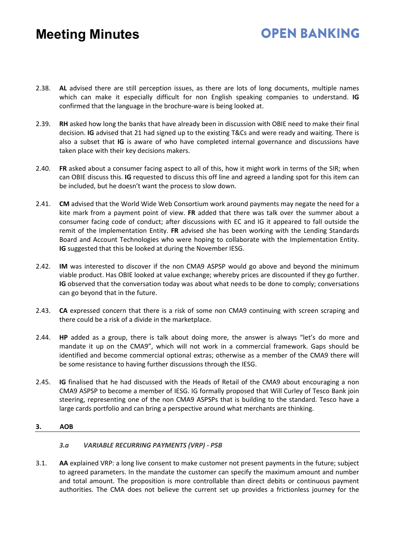# **OPEN RANKING**

- 2.38. **AL** advised there are still perception issues, as there are lots of long documents, multiple names which can make it especially difficult for non English speaking companies to understand. **IG** confirmed that the language in the brochure-ware is being looked at.
- 2.39. **RH** asked how long the banks that have already been in discussion with OBIE need to make their final decision. **IG** advised that 21 had signed up to the existing T&Cs and were ready and waiting. There is also a subset that **IG** is aware of who have completed internal governance and discussions have taken place with their key decisions makers.
- 2.40. **FR** asked about a consumer facing aspect to all of this, how it might work in terms of the SIR; when can OBIE discuss this. **IG** requested to discuss this off line and agreed a landing spot for this item can be included, but he doesn't want the process to slow down.
- 2.41. **CM** advised that the World Wide Web Consortium work around payments may negate the need for a kite mark from a payment point of view. **FR** added that there was talk over the summer about a consumer facing code of conduct; after discussions with EC and IG it appeared to fall outside the remit of the Implementation Entity. **FR** advised she has been working with the Lending Standards Board and Account Technologies who were hoping to collaborate with the Implementation Entity. **IG** suggested that this be looked at during the November IESG.
- 2.42. **IM** was interested to discover if the non CMA9 ASPSP would go above and beyond the minimum viable product. Has OBIE looked at value exchange; whereby prices are discounted if they go further. **IG** observed that the conversation today was about what needs to be done to comply; conversations can go beyond that in the future.
- 2.43. **CA** expressed concern that there is a risk of some non CMA9 continuing with screen scraping and there could be a risk of a divide in the marketplace.
- 2.44. **HP** added as a group, there is talk about doing more, the answer is always "let's do more and mandate it up on the CMA9", which will not work in a commercial framework. Gaps should be identified and become commercial optional extras; otherwise as a member of the CMA9 there will be some resistance to having further discussions through the IESG.
- 2.45. **IG** finalised that he had discussed with the Heads of Retail of the CMA9 about encouraging a non CMA9 ASPSP to become a member of IESG. IG formally proposed that Will Curley of Tesco Bank join steering, representing one of the non CMA9 ASPSPs that is building to the standard. Tesco have a large cards portfolio and can bring a perspective around what merchants are thinking.

#### **3. AOB**

#### *3.a VARIABLE RECURRING PAYMENTS (VRP) - P5B*

3.1. **AA** explained VRP: a long live consent to make customer not present payments in the future; subject to agreed parameters. In the mandate the customer can specify the maximum amount and number and total amount. The proposition is more controllable than direct debits or continuous payment authorities. The CMA does not believe the current set up provides a frictionless journey for the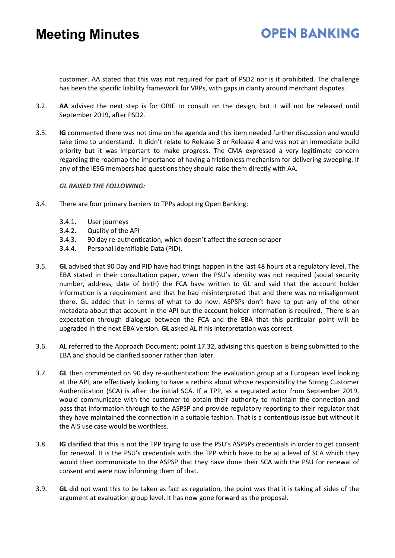### **OPEN BANKING**

customer. AA stated that this was not required for part of PSD2 nor is it prohibited. The challenge has been the specific liability framework for VRPs, with gaps in clarity around merchant disputes.

- 3.2. **AA** advised the next step is for OBIE to consult on the design, but it will not be released until September 2019, after PSD2.
- 3.3. **IG** commented there was not time on the agenda and this item needed further discussion and would take time to understand. It didn't relate to Release 3 or Release 4 and was not an immediate build priority but it was important to make progress. The CMA expressed a very legitimate concern regarding the roadmap the importance of having a frictionless mechanism for delivering sweeping. If any of the IESG members had questions they should raise them directly with AA.

#### *GL RAISED THE FOLLOWING:*

- 3.4. There are four primary barriers to TPPs adopting Open Banking:
	- 3.4.1. User journeys
	- 3.4.2. Quality of the API
	- 3.4.3. 90 day re-authentication, which doesn't affect the screen scraper
	- 3.4.4. Personal Identifiable Data (PID).
- 3.5. **GL** advised that 90 Day and PID have had things happen in the last 48 hours at a regulatory level. The EBA stated in their consultation paper, when the PSU's identity was not required (social security number, address, date of birth) the FCA have written to GL and said that the account holder information is a requirement and that he had misinterpreted that and there was no misalignment there. GL added that in terms of what to do now: ASPSPs don't have to put any of the other metadata about that account in the API but the account holder information is required. There is an expectation through dialogue between the FCA and the EBA that this particular point will be upgraded in the next EBA version. **GL** asked AL if his interpretation was correct.
- 3.6. **AL** referred to the Approach Document; point 17.32, advising this question is being submitted to the EBA and should be clarified sooner rather than later.
- 3.7. **GL** then commented on 90 day re-authentication: the evaluation group at a European level looking at the API, are effectively looking to have a rethink about whose responsibility the Strong Customer Authentication (SCA) is after the initial SCA. If a TPP, as a regulated actor from September 2019, would communicate with the customer to obtain their authority to maintain the connection and pass that information through to the ASPSP and provide regulatory reporting to their regulator that they have maintained the connection in a suitable fashion. That is a contentious issue but without it the AIS use case would be worthless.
- 3.8. **IG** clarified that this is not the TPP trying to use the PSU's ASPSPs credentials in order to get consent for renewal. It is the PSU's credentials with the TPP which have to be at a level of SCA which they would then communicate to the ASPSP that they have done their SCA with the PSU for renewal of consent and were now informing them of that.
- 3.9. **GL** did not want this to be taken as fact as regulation, the point was that it is taking all sides of the argument at evaluation group level. It has now gone forward as the proposal.